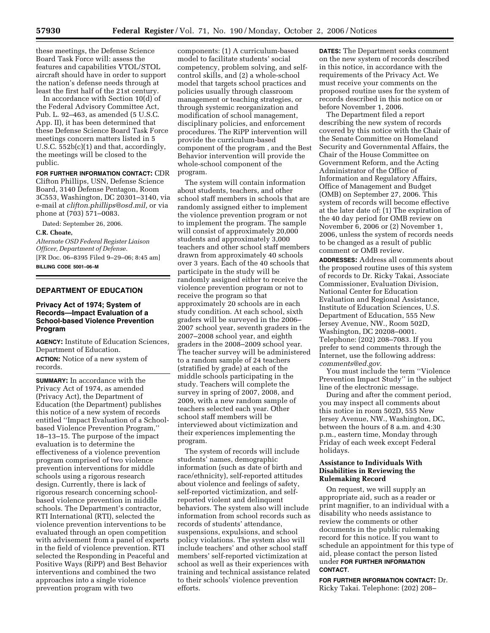these meetings, the Defense Science Board Task Force will: assess the features and capabilities VTOL/STOL aircraft should have in order to support the nation's defense needs through at least the first half of the 21st century.

In accordance with Section 10(d) of the Federal Advisory Committee Act, Pub. L. 92–463, as amended (5 U.S.C. App. II), it has been determined that these Defense Science Board Task Force meetings concern matters listed in 5 U.S.C. 552b(c)(1) and that, accordingly, the meetings will be closed to the public.

#### **FOR FURTHER INFORMATION CONTACT:** CDR

Clifton Phillips, USN, Defense Science Board, 3140 Defense Pentagon, Room 3C553, Washington, DC 20301–3140, via e-mail at *clifton.phillips@osd.mil,* or via phone at (703) 571–0083.

Dated: September 26, 2006.

## **C.R. Choate,**

*Alternate OSD Federal Register Liaison Officer, Department of Defense.*  [FR Doc. 06–8395 Filed 9–29–06; 8:45 am] **BILLING CODE 5001–06–M** 

## **DEPARTMENT OF EDUCATION**

## **Privacy Act of 1974; System of Records—Impact Evaluation of a School-based Violence Prevention Program**

**AGENCY:** Institute of Education Sciences, Department of Education.

**ACTION:** Notice of a new system of records.

**SUMMARY:** In accordance with the Privacy Act of 1974, as amended (Privacy Act), the Department of Education (the Department) publishes this notice of a new system of records entitled ''Impact Evaluation of a Schoolbased Violence Prevention Program,'' 18–13–15. The purpose of the impact evaluation is to determine the effectiveness of a violence prevention program comprised of two violence prevention interventions for middle schools using a rigorous research design. Currently, there is lack of rigorous research concerning schoolbased violence prevention in middle schools. The Department's contractor, RTI International (RTI), selected the violence prevention interventions to be evaluated through an open competition with advisement from a panel of experts in the field of violence prevention. RTI selected the Responding in Peaceful and Positive Ways (RiPP) and Best Behavior interventions and combined the two approaches into a single violence prevention program with two

components: (1) A curriculum-based model to facilitate students' social competency, problem solving, and selfcontrol skills, and (2) a whole-school model that targets school practices and policies usually through classroom management or teaching strategies, or through systemic reorganization and modification of school management, disciplinary policies, and enforcement procedures. The RiPP intervention will provide the curriculum-based component of the program , and the Best Behavior intervention will provide the whole-school component of the program.

The system will contain information about students, teachers, and other school staff members in schools that are randomly assigned either to implement the violence prevention program or not to implement the program. The sample will consist of approximately 20,000 students and approximately 3,000 teachers and other school staff members drawn from approximately 40 schools over 3 years. Each of the 40 schools that participate in the study will be randomly assigned either to receive the violence prevention program or not to receive the program so that approximately 20 schools are in each study condition. At each school, sixth graders will be surveyed in the 2006– 2007 school year, seventh graders in the 2007–2008 school year, and eighth graders in the 2008–2009 school year. The teacher survey will be administered to a random sample of 24 teachers (stratified by grade) at each of the middle schools participating in the study. Teachers will complete the survey in spring of 2007, 2008, and 2009, with a new random sample of teachers selected each year. Other school staff members will be interviewed about victimization and their experiences implementing the program.

The system of records will include students' names, demographic information (such as date of birth and race/ethnicity), self-reported attitudes about violence and feelings of safety, self-reported victimization, and selfreported violent and delinquent behaviors. The system also will include information from school records such as records of students' attendance, suspensions, expulsions, and school policy violations. The system also will include teachers' and other school staff members' self-reported victimization at school as well as their experiences with training and technical assistance related to their schools' violence prevention efforts.

**DATES:** The Department seeks comment on the new system of records described in this notice, in accordance with the requirements of the Privacy Act. We must receive your comments on the proposed routine uses for the system of records described in this notice on or before November 1, 2006.

The Department filed a report describing the new system of records covered by this notice with the Chair of the Senate Committee on Homeland Security and Governmental Affairs, the Chair of the House Committee on Government Reform, and the Acting Administrator of the Office of Information and Regulatory Affairs, Office of Management and Budget (OMB) on September 27, 2006. This system of records will become effective at the later date of: (1) The expiration of the 40 day period for OMB review on November 6, 2006 or (2) November 1, 2006, unless the system of records needs to be changed as a result of public comment or OMB review.

**ADDRESSES:** Address all comments about the proposed routine uses of this system of records to Dr. Ricky Takai, Associate Commissioner, Evaluation Division, National Center for Education Evaluation and Regional Assistance, Institute of Education Sciences, U.S. Department of Education, 555 New Jersey Avenue, NW., Room 502D, Washington, DC 20208–0001. Telephone: (202) 208–7083. If you prefer to send comments through the Internet, use the following address: *comments@ed.gov*.

You must include the term ''Violence Prevention Impact Study'' in the subject line of the electronic message.

During and after the comment period, you may inspect all comments about this notice in room 502D, 555 New Jersey Avenue, NW., Washington, DC, between the hours of 8 a.m. and 4:30 p.m., eastern time, Monday through Friday of each week except Federal holidays.

## **Assistance to Individuals With Disabilities in Reviewing the Rulemaking Record**

On request, we will supply an appropriate aid, such as a reader or print magnifier, to an individual with a disability who needs assistance to review the comments or other documents in the public rulemaking record for this notice. If you want to schedule an appointment for this type of aid, please contact the person listed under **FOR FURTHER INFORMATION CONTACT**.

**FOR FURTHER INFORMATION CONTACT:** Dr. Ricky Takai. Telephone: (202) 208–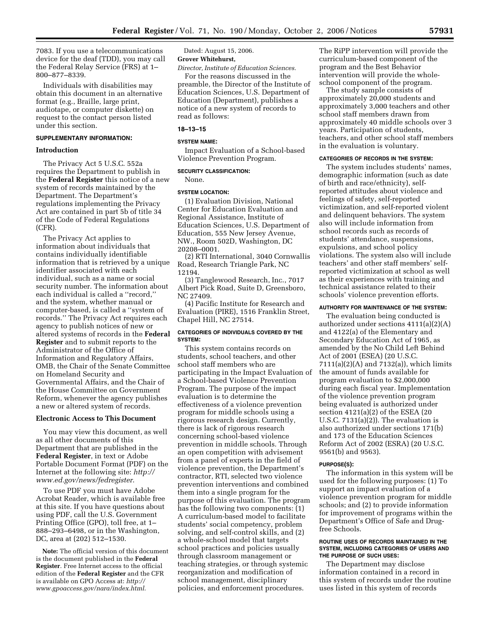7083. If you use a telecommunications device for the deaf (TDD), you may call the Federal Relay Service (FRS) at 1– 800–877–8339.

Individuals with disabilities may obtain this document in an alternative format (e.g., Braille, large print, audiotape, or computer diskette) on request to the contact person listed under this section.

## **SUPPLEMENTARY INFORMATION:**

## **Introduction**

The Privacy Act 5 U.S.C. 552a requires the Department to publish in the **Federal Register** this notice of a new system of records maintained by the Department. The Department's regulations implementing the Privacy Act are contained in part 5b of title 34 of the Code of Federal Regulations (CFR).

The Privacy Act applies to information about individuals that contains individually identifiable information that is retrieved by a unique identifier associated with each individual, such as a name or social security number. The information about each individual is called a ''record,'' and the system, whether manual or computer-based, is called a ''system of records.'' The Privacy Act requires each agency to publish notices of new or altered systems of records in the **Federal Register** and to submit reports to the Administrator of the Office of Information and Regulatory Affairs, OMB, the Chair of the Senate Committee on Homeland Security and Governmental Affairs, and the Chair of the House Committee on Government Reform, whenever the agency publishes a new or altered system of records.

## **Electronic Access to This Document**

You may view this document, as well as all other documents of this Department that are published in the **Federal Register**, in text or Adobe Portable Document Format (PDF) on the Internet at the following site: *http:// www.ed.gov/news/fedregister*.

To use PDF you must have Adobe Acrobat Reader, which is available free at this site. If you have questions about using PDF, call the U.S. Government Printing Office (GPO), toll free, at 1– 888–293–6498, or in the Washington, DC, area at (202) 512–1530.

**Note:** The official version of this document is the document published in the **Federal Register**. Free Internet access to the official edition of the **Federal Register** and the CFR is available on GPO Access at: *http:// www.gpoaccess.gov/nara/index.html*.

Dated: August 15, 2006.

# **Grover Whitehurst,**

*Director, Institute of Education Sciences.*  For the reasons discussed in the

preamble, the Director of the Institute of Education Sciences, U.S. Department of Education (Department), publishes a notice of a new system of records to read as follows:

## **18–13–15**

### **SYSTEM NAME:**

Impact Evaluation of a School-based Violence Prevention Program.

## **SECURITY CLASSIFICATION:**

#### None.

#### **SYSTEM LOCATION:**

(1) Evaluation Division, National Center for Education Evaluation and Regional Assistance, Institute of Education Sciences, U.S. Department of Education, 555 New Jersey Avenue, NW., Room 502D, Washington, DC 20208–0001.

(2) RTI International, 3040 Cornwallis Road, Research Triangle Park, NC 12194.

(3) Tanglewood Research, Inc., 7017 Albert Pick Road, Suite D, Greensboro, NC 27409.

(4) Pacific Institute for Research and Evaluation (PIRE), 1516 Franklin Street, Chapel Hill, NC 27514.

## **CATEGORIES OF INDIVIDUALS COVERED BY THE SYSTEM:**

This system contains records on students, school teachers, and other school staff members who are participating in the Impact Evaluation of a School-based Violence Prevention Program. The purpose of the impact evaluation is to determine the effectiveness of a violence prevention program for middle schools using a rigorous research design. Currently, there is lack of rigorous research concerning school-based violence prevention in middle schools. Through an open competition with advisement from a panel of experts in the field of violence prevention, the Department's contractor, RTI, selected two violence prevention interventions and combined them into a single program for the purpose of this evaluation. The program has the following two components: (1) A curriculum-based model to facilitate students' social competency, problem solving, and self-control skills, and (2) a whole-school model that targets school practices and policies usually through classroom management or teaching strategies, or through systemic reorganization and modification of school management, disciplinary policies, and enforcement procedures.

The RiPP intervention will provide the curriculum-based component of the program and the Best Behavior intervention will provide the wholeschool component of the program.

The study sample consists of approximately 20,000 students and approximately 3,000 teachers and other school staff members drawn from approximately 40 middle schools over 3 years. Participation of students, teachers, and other school staff members in the evaluation is voluntary.

#### **CATEGORIES OF RECORDS IN THE SYSTEM:**

The system includes students' names, demographic information (such as date of birth and race/ethnicity), selfreported attitudes about violence and feelings of safety, self-reported victimization, and self-reported violent and delinquent behaviors. The system also will include information from school records such as records of students' attendance, suspensions, expulsions, and school policy violations. The system also will include teachers' and other staff members' selfreported victimization at school as well as their experiences with training and technical assistance related to their schools' violence prevention efforts.

## **AUTHORITY FOR MAINTENANCE OF THE SYSTEM:**

The evaluation being conducted is authorized under sections 4111(a)(2)(A) and 4122(a) of the Elementary and Secondary Education Act of 1965, as amended by the No Child Left Behind Act of 2001 (ESEA) (20 U.S.C. 7111(a)(2)(A) and 7132(a)), which limits the amount of funds available for program evaluation to \$2,000,000 during each fiscal year. Implementation of the violence prevention program being evaluated is authorized under section 4121(a)(2) of the ESEA (20 U.S.C. 7131(a)(2)). The evaluation is also authorized under sections 171(b) and 173 of the Education Sciences Reform Act of 2002 (ESRA) (20 U.S.C. 9561(b) and 9563).

#### **PURPOSE(S):**

The information in this system will be used for the following purposes: (1) To support an impact evaluation of a violence prevention program for middle schools; and (2) to provide information for improvement of programs within the Department's Office of Safe and Drugfree Schools.

#### **ROUTINE USES OF RECORDS MAINTAINED IN THE SYSTEM, INCLUDING CATEGORIES OF USERS AND THE PURPOSE OF SUCH USES:**

The Department may disclose information contained in a record in this system of records under the routine uses listed in this system of records